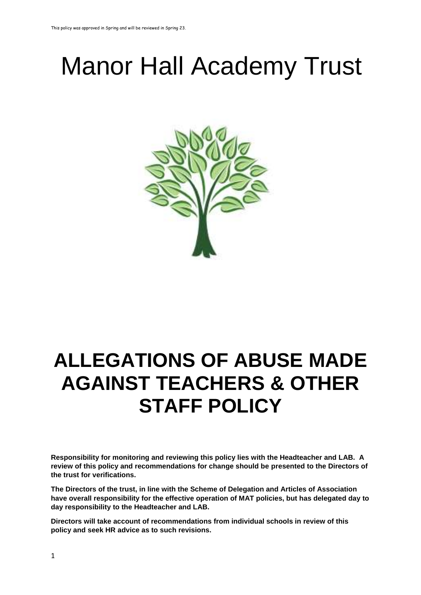# <span id="page-0-0"></span>Manor Hall Academy Trust



## **ALLEGATIONS OF ABUSE MADE AGAINST TEACHERS & OTHER STAFF POLICY**

**Responsibility for monitoring and reviewing this policy lies with the Headteacher and LAB. A review of this policy and recommendations for change should be presented to the Directors of the trust for verifications.**

**The Directors of the trust, in line with the Scheme of Delegation and Articles of Association have overall responsibility for the effective operation of MAT policies, but has delegated day to day responsibility to the Headteacher and LAB.** 

**Directors will take account of recommendations from individual schools in review of this policy and seek HR advice as to such revisions.**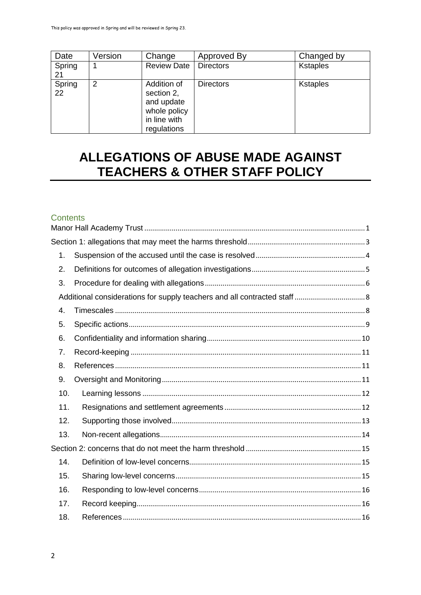| Date         | Version        | Change                                                                                 | Approved By      | Changed by      |
|--------------|----------------|----------------------------------------------------------------------------------------|------------------|-----------------|
| Spring<br>21 |                | <b>Review Date</b>                                                                     | <b>Directors</b> | <b>Kstaples</b> |
| Spring<br>22 | $\overline{2}$ | Addition of<br>section 2,<br>and update<br>whole policy<br>in line with<br>regulations | <b>Directors</b> | <b>Kstaples</b> |

### **ALLEGATIONS OF ABUSE MADE AGAINST TEACHERS & OTHER STAFF POLICY**

### **Contents**

| 1.  |  |
|-----|--|
| 2.  |  |
| 3.  |  |
|     |  |
| 4.  |  |
| 5.  |  |
| 6.  |  |
| 7.  |  |
| 8.  |  |
| 9.  |  |
| 10. |  |
| 11. |  |
| 12. |  |
| 13. |  |
|     |  |
| 14. |  |
| 15. |  |
| 16. |  |
| 17. |  |
| 18. |  |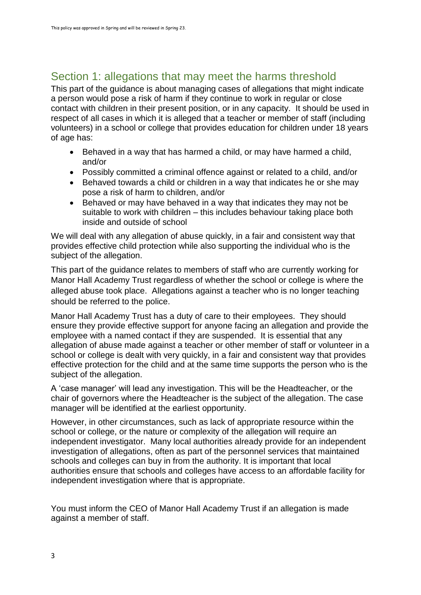### <span id="page-2-0"></span>Section 1: allegations that may meet the harms threshold

This part of the guidance is about managing cases of allegations that might indicate a person would pose a risk of harm if they continue to work in regular or close contact with children in their present position, or in any capacity. It should be used in respect of all cases in which it is alleged that a teacher or member of staff (including volunteers) in a school or college that provides education for children under 18 years of age has:

- Behaved in a way that has harmed a child, or may have harmed a child, and/or
- Possibly committed a criminal offence against or related to a child, and/or
- Behaved towards a child or children in a way that indicates he or she may pose a risk of harm to children, and/or
- Behaved or may have behaved in a way that indicates they may not be suitable to work with children – this includes behaviour taking place both inside and outside of school

We will deal with any allegation of abuse quickly, in a fair and consistent way that provides effective child protection while also supporting the individual who is the subject of the allegation.

This part of the guidance relates to members of staff who are currently working for Manor Hall Academy Trust regardless of whether the school or college is where the alleged abuse took place. Allegations against a teacher who is no longer teaching should be referred to the police.

Manor Hall Academy Trust has a duty of care to their employees. They should ensure they provide effective support for anyone facing an allegation and provide the employee with a named contact if they are suspended. It is essential that any allegation of abuse made against a teacher or other member of staff or volunteer in a school or college is dealt with very quickly, in a fair and consistent way that provides effective protection for the child and at the same time supports the person who is the subject of the allegation.

A 'case manager' will lead any investigation. This will be the Headteacher, or the chair of governors where the Headteacher is the subject of the allegation. The case manager will be identified at the earliest opportunity.

However, in other circumstances, such as lack of appropriate resource within the school or college, or the nature or complexity of the allegation will require an independent investigator. Many local authorities already provide for an independent investigation of allegations, often as part of the personnel services that maintained schools and colleges can buy in from the authority. It is important that local authorities ensure that schools and colleges have access to an affordable facility for independent investigation where that is appropriate.

You must inform the CEO of Manor Hall Academy Trust if an allegation is made against a member of staff.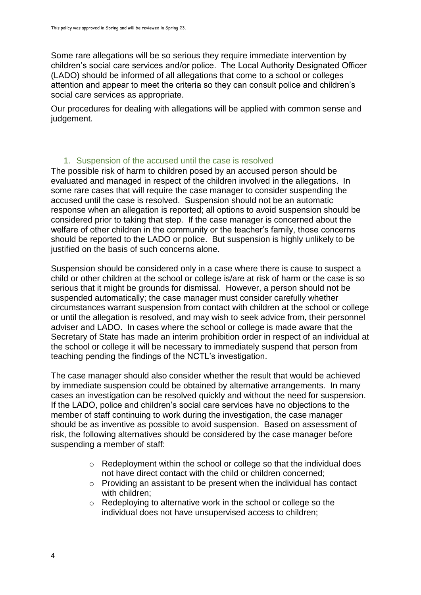Some rare allegations will be so serious they require immediate intervention by children's social care services and/or police. The Local Authority Designated Officer (LADO) should be informed of all allegations that come to a school or colleges attention and appear to meet the criteria so they can consult police and children's social care services as appropriate.

Our procedures for dealing with allegations will be applied with common sense and judgement.

### 1. Suspension of the accused until the case is resolved

<span id="page-3-0"></span>The possible risk of harm to children posed by an accused person should be evaluated and managed in respect of the children involved in the allegations. In some rare cases that will require the case manager to consider suspending the accused until the case is resolved. Suspension should not be an automatic response when an allegation is reported; all options to avoid suspension should be considered prior to taking that step. If the case manager is concerned about the welfare of other children in the community or the teacher's family, those concerns should be reported to the LADO or police. But suspension is highly unlikely to be justified on the basis of such concerns alone.

Suspension should be considered only in a case where there is cause to suspect a child or other children at the school or college is/are at risk of harm or the case is so serious that it might be grounds for dismissal. However, a person should not be suspended automatically; the case manager must consider carefully whether circumstances warrant suspension from contact with children at the school or college or until the allegation is resolved, and may wish to seek advice from, their personnel adviser and LADO. In cases where the school or college is made aware that the Secretary of State has made an interim prohibition order in respect of an individual at the school or college it will be necessary to immediately suspend that person from teaching pending the findings of the NCTL's investigation.

The case manager should also consider whether the result that would be achieved by immediate suspension could be obtained by alternative arrangements. In many cases an investigation can be resolved quickly and without the need for suspension. If the LADO, police and children's social care services have no objections to the member of staff continuing to work during the investigation, the case manager should be as inventive as possible to avoid suspension. Based on assessment of risk, the following alternatives should be considered by the case manager before suspending a member of staff:

- o Redeployment within the school or college so that the individual does not have direct contact with the child or children concerned;
- o Providing an assistant to be present when the individual has contact with children:
- o Redeploying to alternative work in the school or college so the individual does not have unsupervised access to children;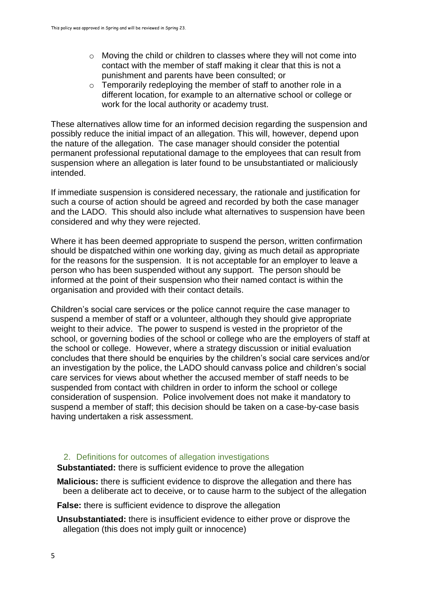- o Moving the child or children to classes where they will not come into contact with the member of staff making it clear that this is not a punishment and parents have been consulted; or
- o Temporarily redeploying the member of staff to another role in a different location, for example to an alternative school or college or work for the local authority or academy trust.

These alternatives allow time for an informed decision regarding the suspension and possibly reduce the initial impact of an allegation. This will, however, depend upon the nature of the allegation. The case manager should consider the potential permanent professional reputational damage to the employees that can result from suspension where an allegation is later found to be unsubstantiated or maliciously intended.

If immediate suspension is considered necessary, the rationale and justification for such a course of action should be agreed and recorded by both the case manager and the LADO. This should also include what alternatives to suspension have been considered and why they were rejected.

Where it has been deemed appropriate to suspend the person, written confirmation should be dispatched within one working day, giving as much detail as appropriate for the reasons for the suspension. It is not acceptable for an employer to leave a person who has been suspended without any support. The person should be informed at the point of their suspension who their named contact is within the organisation and provided with their contact details.

Children's social care services or the police cannot require the case manager to suspend a member of staff or a volunteer, although they should give appropriate weight to their advice. The power to suspend is vested in the proprietor of the school, or governing bodies of the school or college who are the employers of staff at the school or college. However, where a strategy discussion or initial evaluation concludes that there should be enquiries by the children's social care services and/or an investigation by the police, the LADO should canvass police and children's social care services for views about whether the accused member of staff needs to be suspended from contact with children in order to inform the school or college consideration of suspension. Police involvement does not make it mandatory to suspend a member of staff; this decision should be taken on a case-by-case basis having undertaken a risk assessment.

#### <span id="page-4-0"></span>2. Definitions for outcomes of allegation investigations

**Substantiated:** there is sufficient evidence to prove the allegation

**Malicious:** there is sufficient evidence to disprove the allegation and there has been a deliberate act to deceive, or to cause harm to the subject of the allegation

**False:** there is sufficient evidence to disprove the allegation

**Unsubstantiated:** there is insufficient evidence to either prove or disprove the allegation (this does not imply guilt or innocence)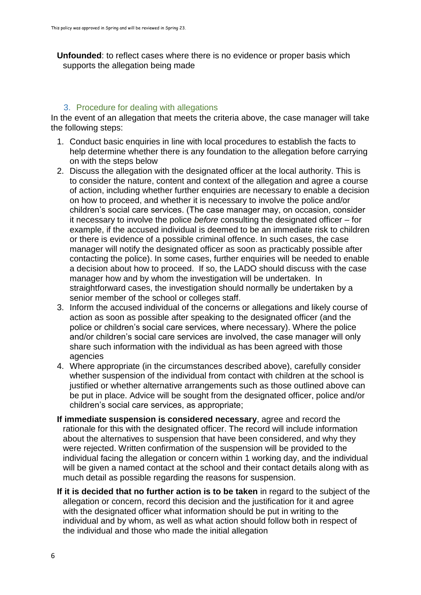**Unfounded**: to reflect cases where there is no evidence or proper basis which supports the allegation being made

### 3. Procedure for dealing with allegations

<span id="page-5-0"></span>In the event of an allegation that meets the criteria above, the case manager will take the following steps:

- 1. Conduct basic enquiries in line with local procedures to establish the facts to help determine whether there is any foundation to the allegation before carrying on with the steps below
- 2. Discuss the allegation with the designated officer at the local authority. This is to consider the nature, content and context of the allegation and agree a course of action, including whether further enquiries are necessary to enable a decision on how to proceed, and whether it is necessary to involve the police and/or children's social care services. (The case manager may, on occasion, consider it necessary to involve the police *before* consulting the designated officer – for example, if the accused individual is deemed to be an immediate risk to children or there is evidence of a possible criminal offence. In such cases, the case manager will notify the designated officer as soon as practicably possible after contacting the police). In some cases, further enquiries will be needed to enable a decision about how to proceed. If so, the LADO should discuss with the case manager how and by whom the investigation will be undertaken. In straightforward cases, the investigation should normally be undertaken by a senior member of the school or colleges staff.
- 3. Inform the accused individual of the concerns or allegations and likely course of action as soon as possible after speaking to the designated officer (and the police or children's social care services, where necessary). Where the police and/or children's social care services are involved, the case manager will only share such information with the individual as has been agreed with those agencies
- 4. Where appropriate (in the circumstances described above), carefully consider whether suspension of the individual from contact with children at the school is justified or whether alternative arrangements such as those outlined above can be put in place. Advice will be sought from the designated officer, police and/or children's social care services, as appropriate;
- **If immediate suspension is considered necessary**, agree and record the rationale for this with the designated officer. The record will include information about the alternatives to suspension that have been considered, and why they were rejected. Written confirmation of the suspension will be provided to the individual facing the allegation or concern within 1 working day, and the individual will be given a named contact at the school and their contact details along with as much detail as possible regarding the reasons for suspension.
- **If it is decided that no further action is to be taken** in regard to the subject of the allegation or concern, record this decision and the justification for it and agree with the designated officer what information should be put in writing to the individual and by whom, as well as what action should follow both in respect of the individual and those who made the initial allegation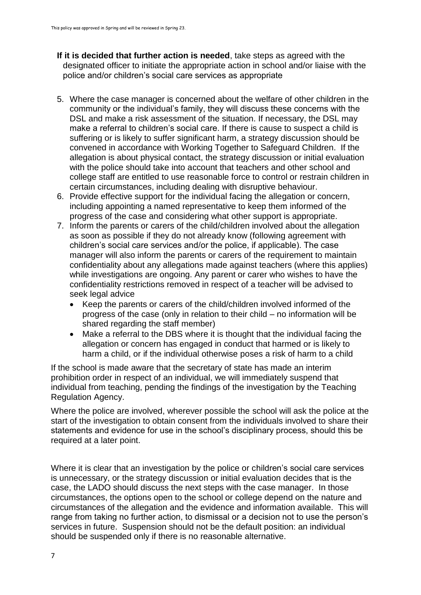- **If it is decided that further action is needed**, take steps as agreed with the designated officer to initiate the appropriate action in school and/or liaise with the police and/or children's social care services as appropriate
- 5. Where the case manager is concerned about the welfare of other children in the community or the individual's family, they will discuss these concerns with the DSL and make a risk assessment of the situation. If necessary, the DSL may make a referral to children's social care. If there is cause to suspect a child is suffering or is likely to suffer significant harm, a strategy discussion should be convened in accordance with Working Together to Safeguard Children. If the allegation is about physical contact, the strategy discussion or initial evaluation with the police should take into account that teachers and other school and college staff are entitled to use reasonable force to control or restrain children in certain circumstances, including dealing with disruptive behaviour.
- 6. Provide effective support for the individual facing the allegation or concern, including appointing a named representative to keep them informed of the progress of the case and considering what other support is appropriate.
- 7. Inform the parents or carers of the child/children involved about the allegation as soon as possible if they do not already know (following agreement with children's social care services and/or the police, if applicable). The case manager will also inform the parents or carers of the requirement to maintain confidentiality about any allegations made against teachers (where this applies) while investigations are ongoing. Any parent or carer who wishes to have the confidentiality restrictions removed in respect of a teacher will be advised to seek legal advice
	- Keep the parents or carers of the child/children involved informed of the progress of the case (only in relation to their child – no information will be shared regarding the staff member)
	- Make a referral to the DBS where it is thought that the individual facing the allegation or concern has engaged in conduct that harmed or is likely to harm a child, or if the individual otherwise poses a risk of harm to a child

If the school is made aware that the secretary of state has made an interim prohibition order in respect of an individual, we will immediately suspend that individual from teaching, pending the findings of the investigation by the Teaching Regulation Agency.

Where the police are involved, wherever possible the school will ask the police at the start of the investigation to obtain consent from the individuals involved to share their statements and evidence for use in the school's disciplinary process, should this be required at a later point.

Where it is clear that an investigation by the police or children's social care services is unnecessary, or the strategy discussion or initial evaluation decides that is the case, the LADO should discuss the next steps with the case manager. In those circumstances, the options open to the school or college depend on the nature and circumstances of the allegation and the evidence and information available. This will range from taking no further action, to dismissal or a decision not to use the person's services in future. Suspension should not be the default position: an individual should be suspended only if there is no reasonable alternative.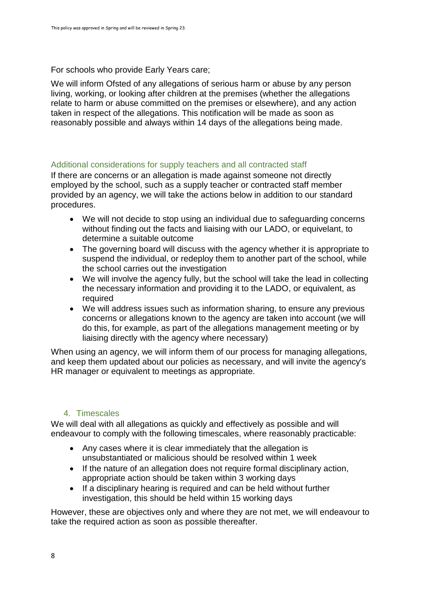For schools who provide Early Years care;

We will inform Ofsted of any allegations of serious harm or abuse by any person living, working, or looking after children at the premises (whether the allegations relate to harm or abuse committed on the premises or elsewhere), and any action taken in respect of the allegations. This notification will be made as soon as reasonably possible and always within 14 days of the allegations being made.

### <span id="page-7-0"></span>Additional considerations for supply teachers and all contracted staff

If there are concerns or an allegation is made against someone not directly employed by the school, such as a supply teacher or contracted staff member provided by an agency, we will take the actions below in addition to our standard procedures.

- We will not decide to stop using an individual due to safeguarding concerns without finding out the facts and liaising with our LADO, or equivelant, to determine a suitable outcome
- The governing board will discuss with the agency whether it is appropriate to suspend the individual, or redeploy them to another part of the school, while the school carries out the investigation
- We will involve the agency fully, but the school will take the lead in collecting the necessary information and providing it to the LADO, or equivalent, as required
- We will address issues such as information sharing, to ensure any previous concerns or allegations known to the agency are taken into account (we will do this, for example, as part of the allegations management meeting or by liaising directly with the agency where necessary)

When using an agency, we will inform them of our process for managing allegations, and keep them updated about our policies as necessary, and will invite the agency's HR manager or equivalent to meetings as appropriate.

### 4. Timescales

<span id="page-7-1"></span>We will deal with all allegations as quickly and effectively as possible and will endeavour to comply with the following timescales, where reasonably practicable:

- Any cases where it is clear immediately that the allegation is unsubstantiated or malicious should be resolved within 1 week
- If the nature of an allegation does not require formal disciplinary action, appropriate action should be taken within 3 working days
- If a disciplinary hearing is required and can be held without further investigation, this should be held within 15 working days

However, these are objectives only and where they are not met, we will endeavour to take the required action as soon as possible thereafter.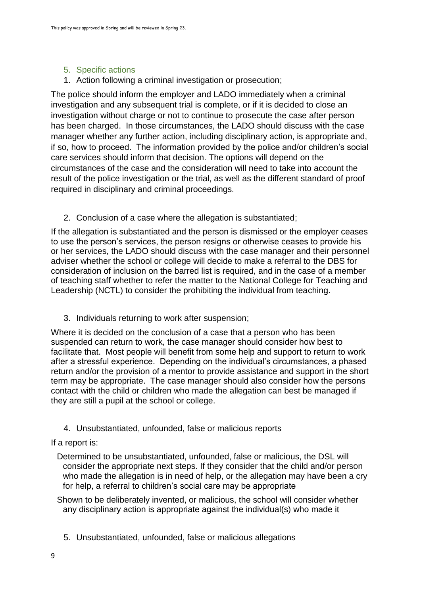### <span id="page-8-0"></span>5. Specific actions

1. Action following a criminal investigation or prosecution;

The police should inform the employer and LADO immediately when a criminal investigation and any subsequent trial is complete, or if it is decided to close an investigation without charge or not to continue to prosecute the case after person has been charged. In those circumstances, the LADO should discuss with the case manager whether any further action, including disciplinary action, is appropriate and, if so, how to proceed. The information provided by the police and/or children's social care services should inform that decision. The options will depend on the circumstances of the case and the consideration will need to take into account the result of the police investigation or the trial, as well as the different standard of proof required in disciplinary and criminal proceedings.

2. Conclusion of a case where the allegation is substantiated;

If the allegation is substantiated and the person is dismissed or the employer ceases to use the person's services, the person resigns or otherwise ceases to provide his or her services, the LADO should discuss with the case manager and their personnel adviser whether the school or college will decide to make a referral to the DBS for consideration of inclusion on the barred list is required, and in the case of a member of teaching staff whether to refer the matter to the National College for Teaching and Leadership (NCTL) to consider the prohibiting the individual from teaching.

3. Individuals returning to work after suspension;

Where it is decided on the conclusion of a case that a person who has been suspended can return to work, the case manager should consider how best to facilitate that. Most people will benefit from some help and support to return to work after a stressful experience. Depending on the individual's circumstances, a phased return and/or the provision of a mentor to provide assistance and support in the short term may be appropriate. The case manager should also consider how the persons contact with the child or children who made the allegation can best be managed if they are still a pupil at the school or college.

4. Unsubstantiated, unfounded, false or malicious reports

#### If a report is:

Determined to be unsubstantiated, unfounded, false or malicious, the DSL will consider the appropriate next steps. If they consider that the child and/or person who made the allegation is in need of help, or the allegation may have been a cry for help, a referral to children's social care may be appropriate

Shown to be deliberately invented, or malicious, the school will consider whether any disciplinary action is appropriate against the individual(s) who made it

5. Unsubstantiated, unfounded, false or malicious allegations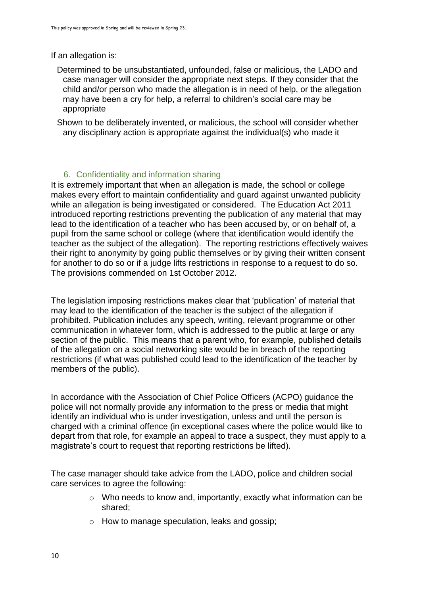#### If an allegation is:

- Determined to be unsubstantiated, unfounded, false or malicious, the LADO and case manager will consider the appropriate next steps. If they consider that the child and/or person who made the allegation is in need of help, or the allegation may have been a cry for help, a referral to children's social care may be appropriate
- Shown to be deliberately invented, or malicious, the school will consider whether any disciplinary action is appropriate against the individual(s) who made it

### 6. Confidentiality and information sharing

<span id="page-9-0"></span>It is extremely important that when an allegation is made, the school or college makes every effort to maintain confidentiality and guard against unwanted publicity while an allegation is being investigated or considered. The Education Act 2011 introduced reporting restrictions preventing the publication of any material that may lead to the identification of a teacher who has been accused by, or on behalf of, a pupil from the same school or college (where that identification would identify the teacher as the subject of the allegation). The reporting restrictions effectively waives their right to anonymity by going public themselves or by giving their written consent for another to do so or if a judge lifts restrictions in response to a request to do so. The provisions commended on 1st October 2012.

The legislation imposing restrictions makes clear that 'publication' of material that may lead to the identification of the teacher is the subject of the allegation if prohibited. Publication includes any speech, writing, relevant programme or other communication in whatever form, which is addressed to the public at large or any section of the public. This means that a parent who, for example, published details of the allegation on a social networking site would be in breach of the reporting restrictions (if what was published could lead to the identification of the teacher by members of the public).

In accordance with the Association of Chief Police Officers (ACPO) guidance the police will not normally provide any information to the press or media that might identify an individual who is under investigation, unless and until the person is charged with a criminal offence (in exceptional cases where the police would like to depart from that role, for example an appeal to trace a suspect, they must apply to a magistrate's court to request that reporting restrictions be lifted).

The case manager should take advice from the LADO, police and children social care services to agree the following:

- o Who needs to know and, importantly, exactly what information can be shared;
- o How to manage speculation, leaks and gossip;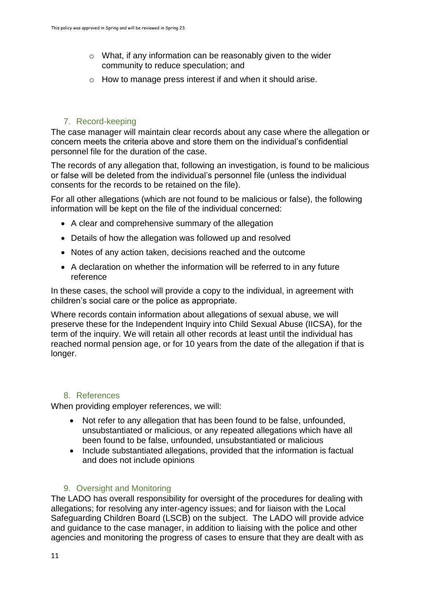- o What, if any information can be reasonably given to the wider community to reduce speculation; and
- o How to manage press interest if and when it should arise.

### 7. Record-keeping

<span id="page-10-0"></span>The case manager will maintain clear records about any case where the allegation or concern meets the criteria above and store them on the individual's confidential personnel file for the duration of the case.

The records of any allegation that, following an investigation, is found to be malicious or false will be deleted from the individual's personnel file (unless the individual consents for the records to be retained on the file).

For all other allegations (which are not found to be malicious or false), the following information will be kept on the file of the individual concerned:

- A clear and comprehensive summary of the allegation
- Details of how the allegation was followed up and resolved
- Notes of any action taken, decisions reached and the outcome
- A declaration on whether the information will be referred to in any future reference

In these cases, the school will provide a copy to the individual, in agreement with children's social care or the police as appropriate.

Where records contain information about allegations of sexual abuse, we will preserve these for the Independent Inquiry into Child Sexual Abuse (IICSA), for the term of the inquiry. We will retain all other records at least until the individual has reached normal pension age, or for 10 years from the date of the allegation if that is longer.

### 8. References

<span id="page-10-1"></span>When providing employer references, we will:

- Not refer to any allegation that has been found to be false, unfounded, unsubstantiated or malicious, or any repeated allegations which have all been found to be false, unfounded, unsubstantiated or malicious
- Include substantiated allegations, provided that the information is factual and does not include opinions

### 9. Oversight and Monitoring

<span id="page-10-2"></span>The LADO has overall responsibility for oversight of the procedures for dealing with allegations; for resolving any inter-agency issues; and for liaison with the Local Safeguarding Children Board (LSCB) on the subject. The LADO will provide advice and guidance to the case manager, in addition to liaising with the police and other agencies and monitoring the progress of cases to ensure that they are dealt with as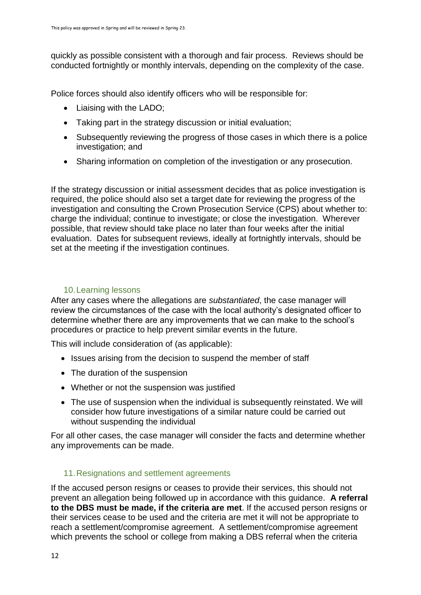quickly as possible consistent with a thorough and fair process. Reviews should be conducted fortnightly or monthly intervals, depending on the complexity of the case.

Police forces should also identify officers who will be responsible for:

- Liaising with the LADO;
- Taking part in the strategy discussion or initial evaluation;
- Subsequently reviewing the progress of those cases in which there is a police investigation; and
- Sharing information on completion of the investigation or any prosecution.

If the strategy discussion or initial assessment decides that as police investigation is required, the police should also set a target date for reviewing the progress of the investigation and consulting the Crown Prosecution Service (CPS) about whether to: charge the individual; continue to investigate; or close the investigation. Wherever possible, that review should take place no later than four weeks after the initial evaluation. Dates for subsequent reviews, ideally at fortnightly intervals, should be set at the meeting if the investigation continues.

### 10.Learning lessons

<span id="page-11-0"></span>After any cases where the allegations are *substantiated*, the case manager will review the circumstances of the case with the local authority's designated officer to determine whether there are any improvements that we can make to the school's procedures or practice to help prevent similar events in the future.

This will include consideration of (as applicable):

- Issues arising from the decision to suspend the member of staff
- The duration of the suspension
- Whether or not the suspension was justified
- The use of suspension when the individual is subsequently reinstated. We will consider how future investigations of a similar nature could be carried out without suspending the individual

For all other cases, the case manager will consider the facts and determine whether any improvements can be made.

### <span id="page-11-1"></span>11.Resignations and settlement agreements

If the accused person resigns or ceases to provide their services, this should not prevent an allegation being followed up in accordance with this guidance. **A referral to the DBS must be made, if the criteria are met**. If the accused person resigns or their services cease to be used and the criteria are met it will not be appropriate to reach a settlement/compromise agreement. A settlement/compromise agreement which prevents the school or college from making a DBS referral when the criteria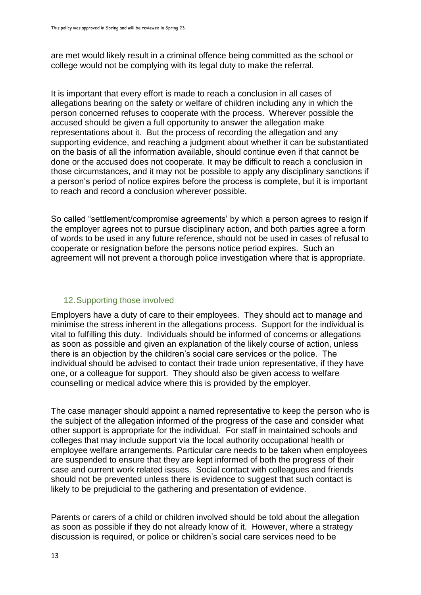are met would likely result in a criminal offence being committed as the school or college would not be complying with its legal duty to make the referral.

It is important that every effort is made to reach a conclusion in all cases of allegations bearing on the safety or welfare of children including any in which the person concerned refuses to cooperate with the process. Wherever possible the accused should be given a full opportunity to answer the allegation make representations about it. But the process of recording the allegation and any supporting evidence, and reaching a judgment about whether it can be substantiated on the basis of all the information available, should continue even if that cannot be done or the accused does not cooperate. It may be difficult to reach a conclusion in those circumstances, and it may not be possible to apply any disciplinary sanctions if a person's period of notice expires before the process is complete, but it is important to reach and record a conclusion wherever possible.

So called "settlement/compromise agreements' by which a person agrees to resign if the employer agrees not to pursue disciplinary action, and both parties agree a form of words to be used in any future reference, should not be used in cases of refusal to cooperate or resignation before the persons notice period expires. Such an agreement will not prevent a thorough police investigation where that is appropriate.

### <span id="page-12-0"></span>12.Supporting those involved

Employers have a duty of care to their employees. They should act to manage and minimise the stress inherent in the allegations process. Support for the individual is vital to fulfilling this duty. Individuals should be informed of concerns or allegations as soon as possible and given an explanation of the likely course of action, unless there is an objection by the children's social care services or the police. The individual should be advised to contact their trade union representative, if they have one, or a colleague for support. They should also be given access to welfare counselling or medical advice where this is provided by the employer.

The case manager should appoint a named representative to keep the person who is the subject of the allegation informed of the progress of the case and consider what other support is appropriate for the individual. For staff in maintained schools and colleges that may include support via the local authority occupational health or employee welfare arrangements. Particular care needs to be taken when employees are suspended to ensure that they are kept informed of both the progress of their case and current work related issues. Social contact with colleagues and friends should not be prevented unless there is evidence to suggest that such contact is likely to be prejudicial to the gathering and presentation of evidence.

Parents or carers of a child or children involved should be told about the allegation as soon as possible if they do not already know of it. However, where a strategy discussion is required, or police or children's social care services need to be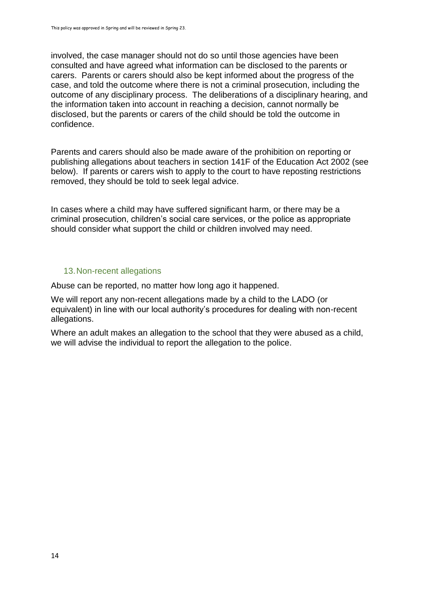involved, the case manager should not do so until those agencies have been consulted and have agreed what information can be disclosed to the parents or carers. Parents or carers should also be kept informed about the progress of the case, and told the outcome where there is not a criminal prosecution, including the outcome of any disciplinary process. The deliberations of a disciplinary hearing, and the information taken into account in reaching a decision, cannot normally be disclosed, but the parents or carers of the child should be told the outcome in confidence.

Parents and carers should also be made aware of the prohibition on reporting or publishing allegations about teachers in section 141F of the Education Act 2002 (see below). If parents or carers wish to apply to the court to have reposting restrictions removed, they should be told to seek legal advice.

In cases where a child may have suffered significant harm, or there may be a criminal prosecution, children's social care services, or the police as appropriate should consider what support the child or children involved may need.

#### 13.Non-recent allegations

<span id="page-13-0"></span>Abuse can be reported, no matter how long ago it happened.

We will report any non-recent allegations made by a child to the LADO (or equivalent) in line with our local authority's procedures for dealing with non-recent allegations.

Where an adult makes an allegation to the school that they were abused as a child, we will advise the individual to report the allegation to the police.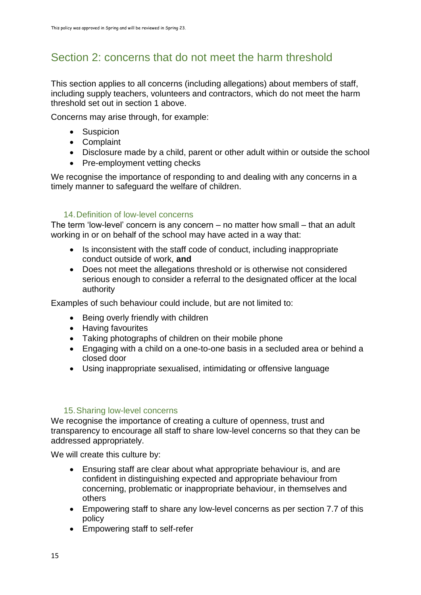### <span id="page-14-0"></span>Section 2: concerns that do not meet the harm threshold

This section applies to all concerns (including allegations) about members of staff, including supply teachers, volunteers and contractors, which do not meet the harm threshold set out in section 1 above.

Concerns may arise through, for example:

- Suspicion
- Complaint
- Disclosure made by a child, parent or other adult within or outside the school
- Pre-employment vetting checks

We recognise the importance of responding to and dealing with any concerns in a timely manner to safeguard the welfare of children.

### 14.Definition of low-level concerns

<span id="page-14-1"></span>The term 'low-level' concern is any concern – no matter how small – that an adult working in or on behalf of the school may have acted in a way that:

- Is inconsistent with the staff code of conduct, including inappropriate conduct outside of work, **and**
- Does not meet the allegations threshold or is otherwise not considered serious enough to consider a referral to the designated officer at the local authority

Examples of such behaviour could include, but are not limited to:

- Being overly friendly with children
- Having favourites
- Taking photographs of children on their mobile phone
- Engaging with a child on a one-to-one basis in a secluded area or behind a closed door
- Using inappropriate sexualised, intimidating or offensive language

### 15.Sharing low-level concerns

<span id="page-14-2"></span>We recognise the importance of creating a culture of openness, trust and transparency to encourage all staff to share low-level concerns so that they can be addressed appropriately.

We will create this culture by:

- Ensuring staff are clear about what appropriate behaviour is, and are confident in distinguishing expected and appropriate behaviour from concerning, problematic or inappropriate behaviour, in themselves and others
- Empowering staff to share any low-level concerns as per section 7.7 of this policy
- Empowering staff to self-refer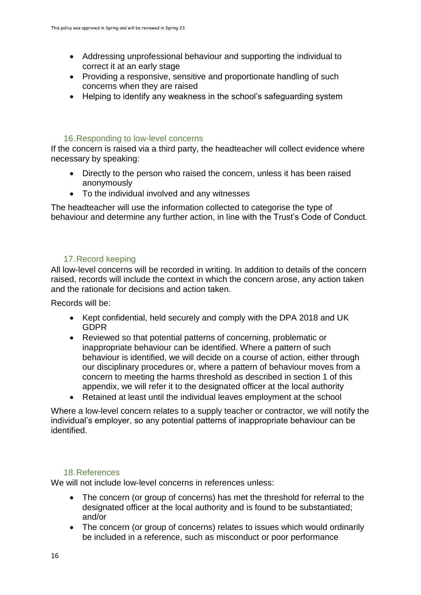- Addressing unprofessional behaviour and supporting the individual to correct it at an early stage
- Providing a responsive, sensitive and proportionate handling of such concerns when they are raised
- Helping to identify any weakness in the school's safeguarding system

### 16.Responding to low-level concerns

<span id="page-15-0"></span>If the concern is raised via a third party, the headteacher will collect evidence where necessary by speaking:

- Directly to the person who raised the concern, unless it has been raised anonymously
- To the individual involved and any witnesses

The headteacher will use the information collected to categorise the type of behaviour and determine any further action, in line with the Trust's Code of Conduct.

### 17.Record keeping

<span id="page-15-1"></span>All low-level concerns will be recorded in writing. In addition to details of the concern raised, records will include the context in which the concern arose, any action taken and the rationale for decisions and action taken.

Records will be:

- Kept confidential, held securely and comply with the DPA 2018 and UK GDPR
- Reviewed so that potential patterns of concerning, problematic or inappropriate behaviour can be identified. Where a pattern of such behaviour is identified, we will decide on a course of action, either through our disciplinary procedures or, where a pattern of behaviour moves from a concern to meeting the harms threshold as described in section 1 of this appendix, we will refer it to the designated officer at the local authority
- Retained at least until the individual leaves employment at the school

Where a low-level concern relates to a supply teacher or contractor, we will notify the individual's employer, so any potential patterns of inappropriate behaviour can be identified.

### 18.References

<span id="page-15-2"></span>We will not include low-level concerns in references unless:

- The concern (or group of concerns) has met the threshold for referral to the designated officer at the local authority and is found to be substantiated; and/or
- The concern (or group of concerns) relates to issues which would ordinarily be included in a reference, such as misconduct or poor performance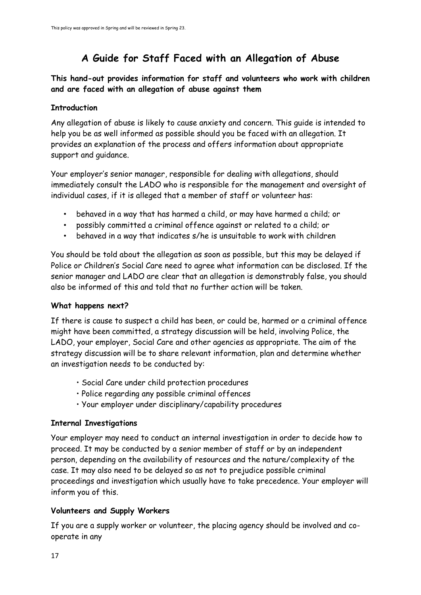### **A Guide for Staff Faced with an Allegation of Abuse**

**This hand-out provides information for staff and volunteers who work with children and are faced with an allegation of abuse against them**

### **Introduction**

Any allegation of abuse is likely to cause anxiety and concern. This guide is intended to help you be as well informed as possible should you be faced with an allegation. It provides an explanation of the process and offers information about appropriate support and guidance.

Your employer's senior manager, responsible for dealing with allegations, should immediately consult the LADO who is responsible for the management and oversight of individual cases, if it is alleged that a member of staff or volunteer has:

- behaved in a way that has harmed a child, or may have harmed a child; or
- possibly committed a criminal offence against or related to a child; or
- behaved in a way that indicates s/he is unsuitable to work with children

You should be told about the allegation as soon as possible, but this may be delayed if Police or Children's Social Care need to agree what information can be disclosed. If the senior manager and LADO are clear that an allegation is demonstrably false, you should also be informed of this and told that no further action will be taken.

### **What happens next?**

If there is cause to suspect a child has been, or could be, harmed or a criminal offence might have been committed, a strategy discussion will be held, involving Police, the LADO, your employer, Social Care and other agencies as appropriate. The aim of the strategy discussion will be to share relevant information, plan and determine whether an investigation needs to be conducted by:

- Social Care under child protection procedures
- Police regarding any possible criminal offences
- Your employer under disciplinary/capability procedures

### **Internal Investigations**

Your employer may need to conduct an internal investigation in order to decide how to proceed. It may be conducted by a senior member of staff or by an independent person, depending on the availability of resources and the nature/complexity of the case. It may also need to be delayed so as not to prejudice possible criminal proceedings and investigation which usually have to take precedence. Your employer will inform you of this.

### **Volunteers and Supply Workers**

If you are a supply worker or volunteer, the placing agency should be involved and cooperate in any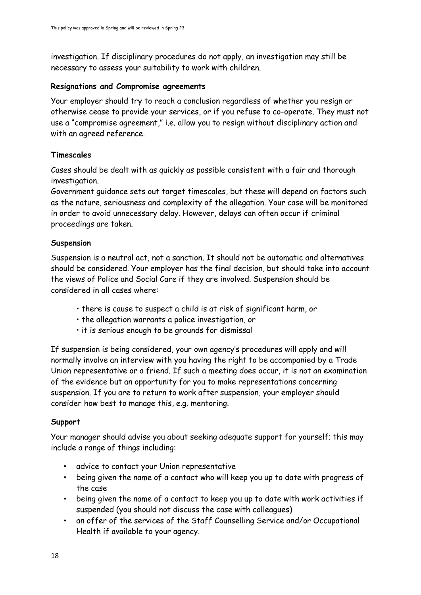investigation. If disciplinary procedures do not apply, an investigation may still be necessary to assess your suitability to work with children.

### **Resignations and Compromise agreements**

Your employer should try to reach a conclusion regardless of whether you resign or otherwise cease to provide your services, or if you refuse to co-operate. They must not use a "compromise agreement," i.e. allow you to resign without disciplinary action and with an agreed reference.

### **Timescales**

Cases should be dealt with as quickly as possible consistent with a fair and thorough investigation.

Government guidance sets out target timescales, but these will depend on factors such as the nature, seriousness and complexity of the allegation. Your case will be monitored in order to avoid unnecessary delay. However, delays can often occur if criminal proceedings are taken.

### **Suspension**

Suspension is a neutral act, not a sanction. It should not be automatic and alternatives should be considered. Your employer has the final decision, but should take into account the views of Police and Social Care if they are involved. Suspension should be considered in all cases where:

- there is cause to suspect a child is at risk of significant harm, or
- the allegation warrants a police investigation, or
- it is serious enough to be grounds for dismissal

If suspension is being considered, your own agency's procedures will apply and will normally involve an interview with you having the right to be accompanied by a Trade Union representative or a friend. If such a meeting does occur, it is not an examination of the evidence but an opportunity for you to make representations concerning suspension. If you are to return to work after suspension, your employer should consider how best to manage this, e.g. mentoring.

### **Support**

Your manager should advise you about seeking adequate support for yourself; this may include a range of things including:

- advice to contact your Union representative
- being given the name of a contact who will keep you up to date with progress of the case
- being given the name of a contact to keep you up to date with work activities if suspended (you should not discuss the case with colleagues)
- an offer of the services of the Staff Counselling Service and/or Occupational Health if available to your agency.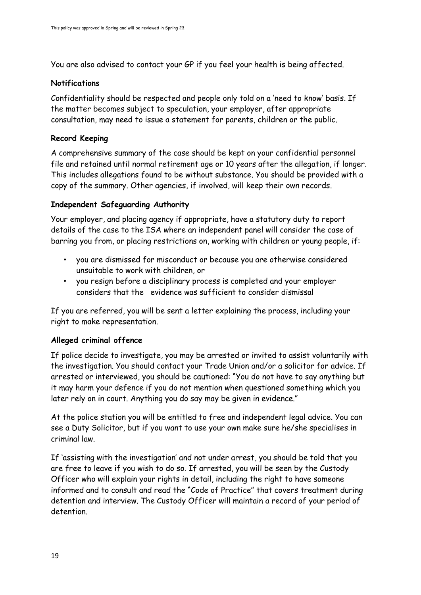You are also advised to contact your GP if you feel your health is being affected.

### **Notifications**

Confidentiality should be respected and people only told on a 'need to know' basis. If the matter becomes subject to speculation, your employer, after appropriate consultation, may need to issue a statement for parents, children or the public.

### **Record Keeping**

A comprehensive summary of the case should be kept on your confidential personnel file and retained until normal retirement age or 10 years after the allegation, if longer. This includes allegations found to be without substance. You should be provided with a copy of the summary. Other agencies, if involved, will keep their own records.

### **Independent Safeguarding Authority**

Your employer, and placing agency if appropriate, have a statutory duty to report details of the case to the ISA where an independent panel will consider the case of barring you from, or placing restrictions on, working with children or young people, if:

- you are dismissed for misconduct or because you are otherwise considered unsuitable to work with children, or
- you resign before a disciplinary process is completed and your employer considers that the evidence was sufficient to consider dismissal

If you are referred, you will be sent a letter explaining the process, including your right to make representation.

### **Alleged criminal offence**

If police decide to investigate, you may be arrested or invited to assist voluntarily with the investigation. You should contact your Trade Union and/or a solicitor for advice. If arrested or interviewed, you should be cautioned: "You do not have to say anything but it may harm your defence if you do not mention when questioned something which you later rely on in court. Anything you do say may be given in evidence."

At the police station you will be entitled to free and independent legal advice. You can see a Duty Solicitor, but if you want to use your own make sure he/she specialises in criminal law.

If 'assisting with the investigation' and not under arrest, you should be told that you are free to leave if you wish to do so. If arrested, you will be seen by the Custody Officer who will explain your rights in detail, including the right to have someone informed and to consult and read the "Code of Practice" that covers treatment during detention and interview. The Custody Officer will maintain a record of your period of detention.